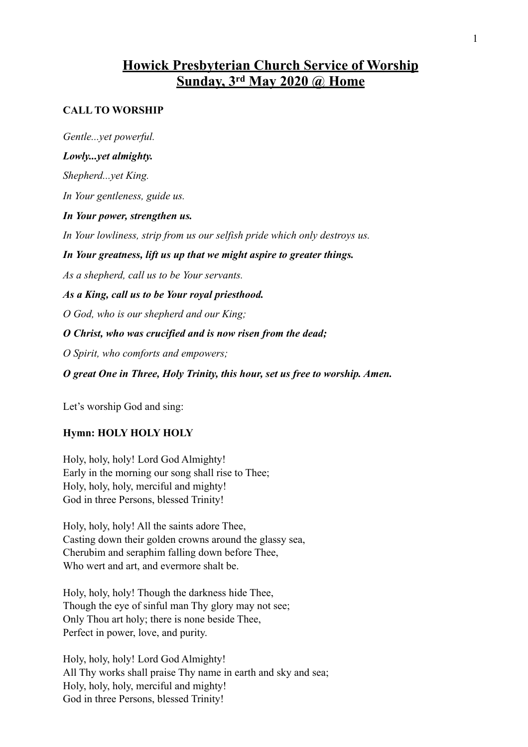# **Howick Presbyterian Church Service of Worship Sunday, 3rd May 2020 @ Home**

#### **CALL TO WORSHIP**

*Gentle...yet powerful. Lowly...yet almighty. Shepherd...yet King. In Your gentleness, guide us. In Your power, strengthen us. In Your lowliness, strip from us our selfish pride which only destroys us. In Your greatness, lift us up that we might aspire to greater things. As a shepherd, call us to be Your servants. As a King, call us to be Your royal priesthood. O God, who is our shepherd and our King; O Christ, who was crucified and is now risen from the dead; O Spirit, who comforts and empowers;*

*O great One in Three, Holy Trinity, this hour, set us free to worship. Amen.*

Let's worship God and sing:

#### **Hymn: HOLY HOLY HOLY**

Holy, holy, holy! Lord God Almighty! Early in the morning our song shall rise to Thee; Holy, holy, holy, merciful and mighty! God in three Persons, blessed Trinity!

Holy, holy, holy! All the saints adore Thee, Casting down their golden crowns around the glassy sea, Cherubim and seraphim falling down before Thee, Who wert and art, and evermore shalt be.

Holy, holy, holy! Though the darkness hide Thee, Though the eye of sinful man Thy glory may not see; Only Thou art holy; there is none beside Thee, Perfect in power, love, and purity.

Holy, holy, holy! Lord God Almighty! All Thy works shall praise Thy name in earth and sky and sea; Holy, holy, holy, merciful and mighty! God in three Persons, blessed Trinity!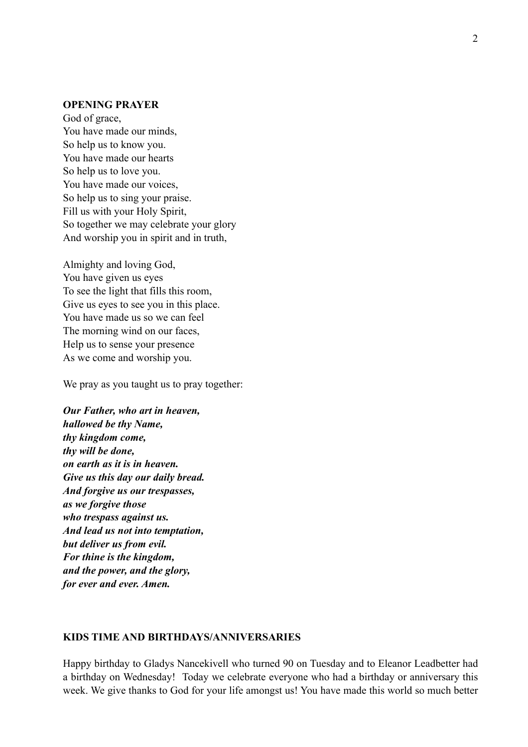#### **OPENING PRAYER**

God of grace, You have made our minds, So help us to know you. You have made our hearts So help us to love you. You have made our voices, So help us to sing your praise. Fill us with your Holy Spirit, So together we may celebrate your glory And worship you in spirit and in truth,

Almighty and loving God, You have given us eyes To see the light that fills this room, Give us eyes to see you in this place. You have made us so we can feel The morning wind on our faces, Help us to sense your presence As we come and worship you.

We pray as you taught us to pray together:

*Our Father, who art in heaven, hallowed be thy Name, thy kingdom come, thy will be done, on earth as it is in heaven. Give us this day our daily bread. And forgive us our trespasses, as we forgive those who trespass against us. And lead us not into temptation, but deliver us from evil. For thine is the kingdom, and the power, and the glory, for ever and ever. Amen.*

### **KIDS TIME AND BIRTHDAYS/ANNIVERSARIES**

Happy birthday to Gladys Nancekivell who turned 90 on Tuesday and to Eleanor Leadbetter had a birthday on Wednesday! Today we celebrate everyone who had a birthday or anniversary this week. We give thanks to God for your life amongst us! You have made this world so much better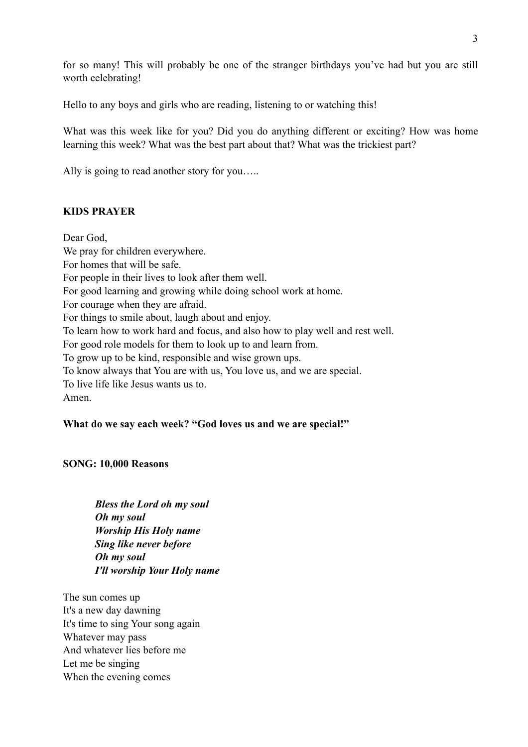for so many! This will probably be one of the stranger birthdays you've had but you are still worth celebrating!

Hello to any boys and girls who are reading, listening to or watching this!

What was this week like for you? Did you do anything different or exciting? How was home learning this week? What was the best part about that? What was the trickiest part?

Ally is going to read another story for you…..

## **KIDS PRAYER**

Dear God, We pray for children everywhere. For homes that will be safe. For people in their lives to look after them well. For good learning and growing while doing school work at home. For courage when they are afraid. For things to smile about, laugh about and enjoy. To learn how to work hard and focus, and also how to play well and rest well. For good role models for them to look up to and learn from. To grow up to be kind, responsible and wise grown ups. To know always that You are with us, You love us, and we are special. To live life like Jesus wants us to. Amen.

## **What do we say each week? "God loves us and we are special!"**

#### **SONG: 10,000 Reasons**

*Bless the Lord oh my soul Oh my soul Worship His Holy name Sing like never before Oh my soul I'll worship Your Holy name*

The sun comes up It's a new day dawning It's time to sing Your song again Whatever may pass And whatever lies before me Let me be singing When the evening comes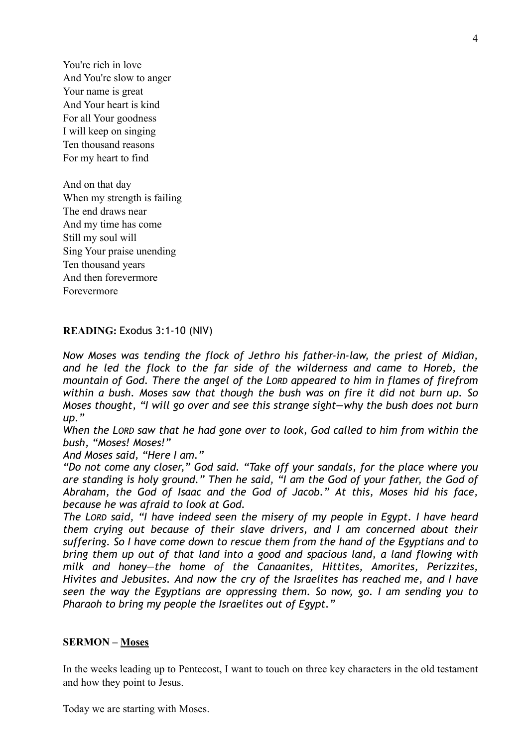You're rich in love And You're slow to anger Your name is great And Your heart is kind For all Your goodness I will keep on singing Ten thousand reasons For my heart to find

And on that day When my strength is failing The end draws near And my time has come Still my soul will Sing Your praise unending Ten thousand years And then forevermore Forevermore

## **READING:** Exodus 3:1-10 (NIV)

*Now Moses was tending the flock of Jethro his father-in-law, the priest of Midian, and he led the flock to the far side of the wilderness and came to Horeb, the mountain of God. There the angel of the LORD appeared to him in flames of firefrom within a bush. Moses saw that though the bush was on fire it did not burn up. So Moses thought, "I will go over and see this strange sight—why the bush does not burn up."*

*When the LORD saw that he had gone over to look, God called to him from within the bush, "Moses! Moses!"*

*And Moses said, "Here I am."*

*"Do not come any closer," God said. "Take off your sandals, for the place where you are standing is holy ground." Then he said, "I am the God of your father, the God of Abraham, the God of Isaac and the God of Jacob." At this, Moses hid his face, because he was afraid to look at God.*

*The LORD said, "I have indeed seen the misery of my people in Egypt. I have heard them crying out because of their slave drivers, and I am concerned about their suffering. So I have come down to rescue them from the hand of the Egyptians and to bring them up out of that land into a good and spacious land, a land flowing with milk and honey—the home of the Canaanites, Hittites, Amorites, Perizzites, Hivites and Jebusites. And now the cry of the Israelites has reached me, and I have seen the way the Egyptians are oppressing them. So now, go. I am sending you to Pharaoh to bring my people the Israelites out of Egypt."*

#### **SERMON – Moses**

In the weeks leading up to Pentecost, I want to touch on three key characters in the old testament and how they point to Jesus.

Today we are starting with Moses.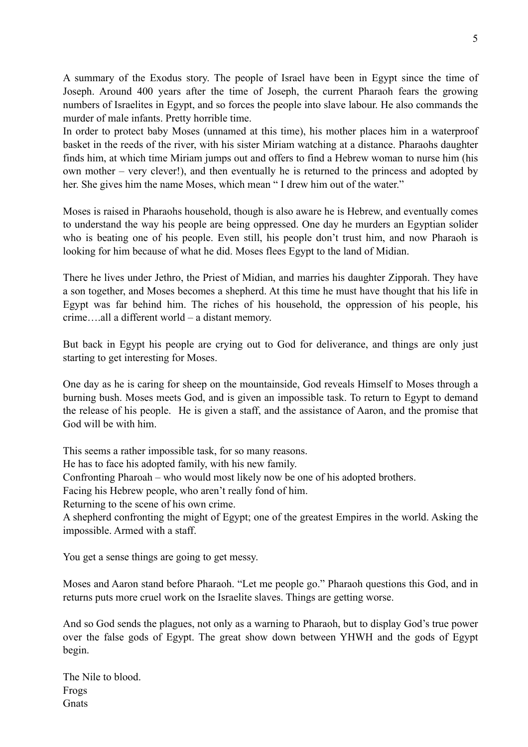A summary of the Exodus story. The people of Israel have been in Egypt since the time of Joseph. Around 400 years after the time of Joseph, the current Pharaoh fears the growing numbers of Israelites in Egypt, and so forces the people into slave labour. He also commands the murder of male infants. Pretty horrible time.

In order to protect baby Moses (unnamed at this time), his mother places him in a waterproof basket in the reeds of the river, with his sister Miriam watching at a distance. Pharaohs daughter finds him, at which time Miriam jumps out and offers to find a Hebrew woman to nurse him (his own mother – very clever!), and then eventually he is returned to the princess and adopted by her. She gives him the name Moses, which mean " I drew him out of the water."

Moses is raised in Pharaohs household, though is also aware he is Hebrew, and eventually comes to understand the way his people are being oppressed. One day he murders an Egyptian solider who is beating one of his people. Even still, his people don't trust him, and now Pharaoh is looking for him because of what he did. Moses flees Egypt to the land of Midian.

There he lives under Jethro, the Priest of Midian, and marries his daughter Zipporah. They have a son together, and Moses becomes a shepherd. At this time he must have thought that his life in Egypt was far behind him. The riches of his household, the oppression of his people, his crime….all a different world – a distant memory.

But back in Egypt his people are crying out to God for deliverance, and things are only just starting to get interesting for Moses.

One day as he is caring for sheep on the mountainside, God reveals Himself to Moses through a burning bush. Moses meets God, and is given an impossible task. To return to Egypt to demand the release of his people. He is given a staff, and the assistance of Aaron, and the promise that God will be with him.

This seems a rather impossible task, for so many reasons.

He has to face his adopted family, with his new family.

Confronting Pharoah – who would most likely now be one of his adopted brothers.

Facing his Hebrew people, who aren't really fond of him.

Returning to the scene of his own crime.

A shepherd confronting the might of Egypt; one of the greatest Empires in the world. Asking the impossible. Armed with a staff.

You get a sense things are going to get messy.

Moses and Aaron stand before Pharaoh. "Let me people go." Pharaoh questions this God, and in returns puts more cruel work on the Israelite slaves. Things are getting worse.

And so God sends the plagues, not only as a warning to Pharaoh, but to display God's true power over the false gods of Egypt. The great show down between YHWH and the gods of Egypt begin.

The Nile to blood. Frogs **Gnats**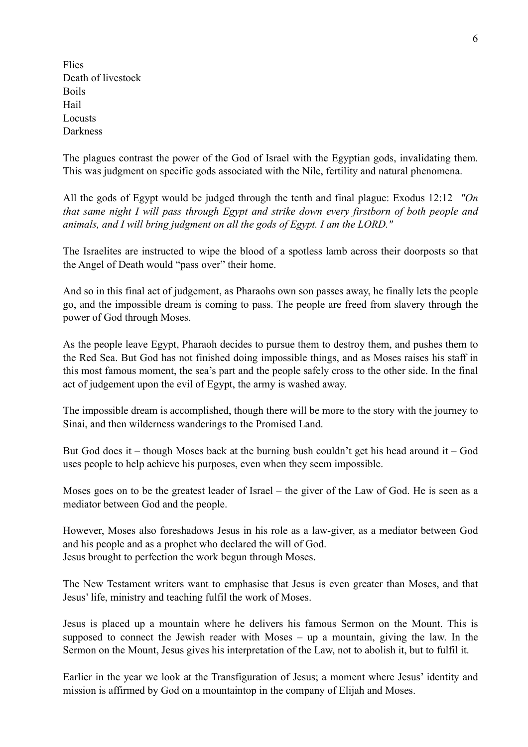Flies Death of livestock Boils Hail Locusts Darkness

The plagues contrast the power of the God of Israel with the Egyptian gods, invalidating them. This was judgment on specific gods associated with the Nile, fertility and natural phenomena.

All the gods of Egypt would be judged through the tenth and final plague: Exodus 12:12 *"On that same night I will pass through Egypt and strike down every firstborn of both people and animals, and I will bring judgment on all the gods of Egypt. I am the LORD."*

The Israelites are instructed to wipe the blood of a spotless lamb across their doorposts so that the Angel of Death would "pass over" their home.

And so in this final act of judgement, as Pharaohs own son passes away, he finally lets the people go, and the impossible dream is coming to pass. The people are freed from slavery through the power of God through Moses.

As the people leave Egypt, Pharaoh decides to pursue them to destroy them, and pushes them to the Red Sea. But God has not finished doing impossible things, and as Moses raises his staff in this most famous moment, the sea's part and the people safely cross to the other side. In the final act of judgement upon the evil of Egypt, the army is washed away.

The impossible dream is accomplished, though there will be more to the story with the journey to Sinai, and then wilderness wanderings to the Promised Land.

But God does it – though Moses back at the burning bush couldn't get his head around it – God uses people to help achieve his purposes, even when they seem impossible.

Moses goes on to be the greatest leader of Israel – the giver of the Law of God. He is seen as a mediator between God and the people.

However, Moses also foreshadows Jesus in his role as a law-giver, as a mediator between God and his people and as a prophet who declared the will of God. Jesus brought to perfection the work begun through Moses.

The New Testament writers want to emphasise that Jesus is even greater than Moses, and that Jesus' life, ministry and teaching fulfil the work of Moses.

Jesus is placed up a mountain where he delivers his famous Sermon on the Mount. This is supposed to connect the Jewish reader with Moses – up a mountain, giving the law. In the Sermon on the Mount, Jesus gives his interpretation of the Law, not to abolish it, but to fulfil it.

Earlier in the year we look at the Transfiguration of Jesus; a moment where Jesus' identity and mission is affirmed by God on a mountaintop in the company of Elijah and Moses.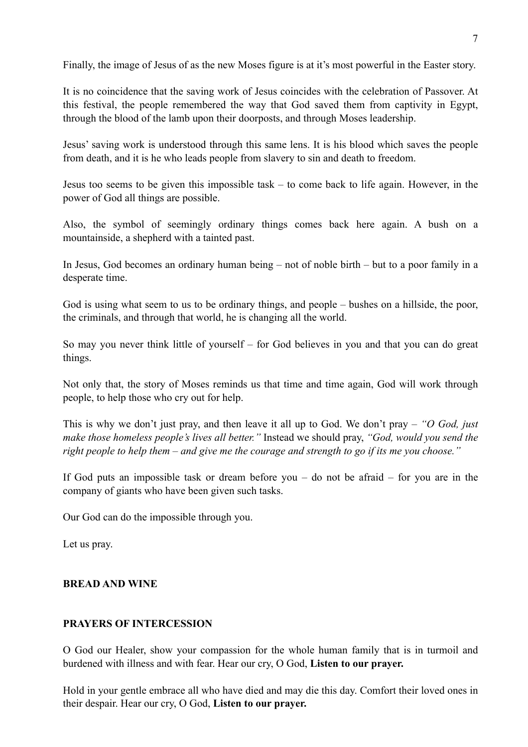Finally, the image of Jesus of as the new Moses figure is at it's most powerful in the Easter story.

It is no coincidence that the saving work of Jesus coincides with the celebration of Passover. At this festival, the people remembered the way that God saved them from captivity in Egypt, through the blood of the lamb upon their doorposts, and through Moses leadership.

Jesus' saving work is understood through this same lens. It is his blood which saves the people from death, and it is he who leads people from slavery to sin and death to freedom.

Jesus too seems to be given this impossible task – to come back to life again. However, in the power of God all things are possible.

Also, the symbol of seemingly ordinary things comes back here again. A bush on a mountainside, a shepherd with a tainted past.

In Jesus, God becomes an ordinary human being – not of noble birth – but to a poor family in a desperate time.

God is using what seem to us to be ordinary things, and people – bushes on a hillside, the poor, the criminals, and through that world, he is changing all the world.

So may you never think little of yourself – for God believes in you and that you can do great things.

Not only that, the story of Moses reminds us that time and time again, God will work through people, to help those who cry out for help.

This is why we don't just pray, and then leave it all up to God. We don't pray – *"O God, just make those homeless people's lives all better."* Instead we should pray, *"God, would you send the right people to help them – and give me the courage and strength to go if its me you choose."*

If God puts an impossible task or dream before you – do not be afraid – for you are in the company of giants who have been given such tasks.

Our God can do the impossible through you.

Let us pray.

#### **BREAD AND WINE**

#### **PRAYERS OF INTERCESSION**

O God our Healer, show your compassion for the whole human family that is in turmoil and burdened with illness and with fear. Hear our cry, O God, **Listen to our prayer.**

Hold in your gentle embrace all who have died and may die this day. Comfort their loved ones in their despair. Hear our cry, O God, **Listen to our prayer.**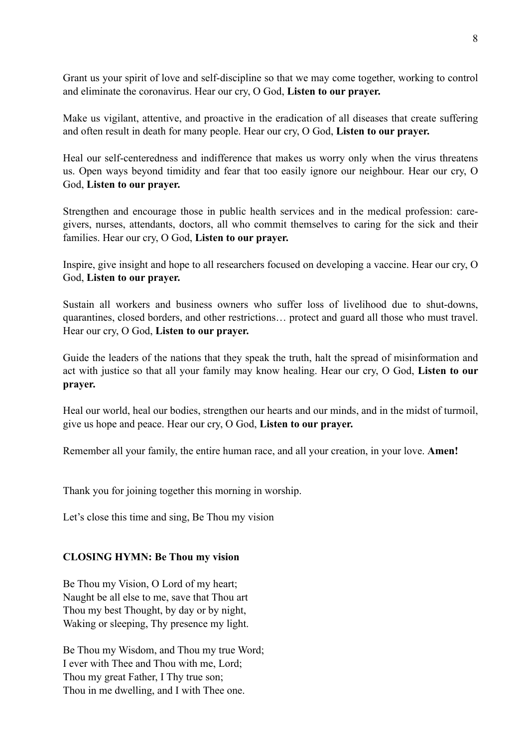Grant us your spirit of love and self-discipline so that we may come together, working to control and eliminate the coronavirus. Hear our cry, O God, **Listen to our prayer.**

Make us vigilant, attentive, and proactive in the eradication of all diseases that create suffering and often result in death for many people. Hear our cry, O God, **Listen to our prayer.** 

Heal our self-centeredness and indifference that makes us worry only when the virus threatens us. Open ways beyond timidity and fear that too easily ignore our neighbour. Hear our cry, O God, **Listen to our prayer.** 

Strengthen and encourage those in public health services and in the medical profession: caregivers, nurses, attendants, doctors, all who commit themselves to caring for the sick and their families. Hear our cry, O God, **Listen to our prayer.**

Inspire, give insight and hope to all researchers focused on developing a vaccine. Hear our cry, O God, **Listen to our prayer.**

Sustain all workers and business owners who suffer loss of livelihood due to shut-downs, quarantines, closed borders, and other restrictions… protect and guard all those who must travel. Hear our cry, O God, **Listen to our prayer.** 

Guide the leaders of the nations that they speak the truth, halt the spread of misinformation and act with justice so that all your family may know healing. Hear our cry, O God, **Listen to our prayer.**

Heal our world, heal our bodies, strengthen our hearts and our minds, and in the midst of turmoil, give us hope and peace. Hear our cry, O God, **Listen to our prayer.**

Remember all your family, the entire human race, and all your creation, in your love. **Amen!**

Thank you for joining together this morning in worship.

Let's close this time and sing, Be Thou my vision

#### **CLOSING HYMN: Be Thou my vision**

Be Thou my Vision, O Lord of my heart; Naught be all else to me, save that Thou art Thou my best Thought, by day or by night, Waking or sleeping, Thy presence my light.

Be Thou my Wisdom, and Thou my true Word; I ever with Thee and Thou with me, Lord; Thou my great Father, I Thy true son; Thou in me dwelling, and I with Thee one.